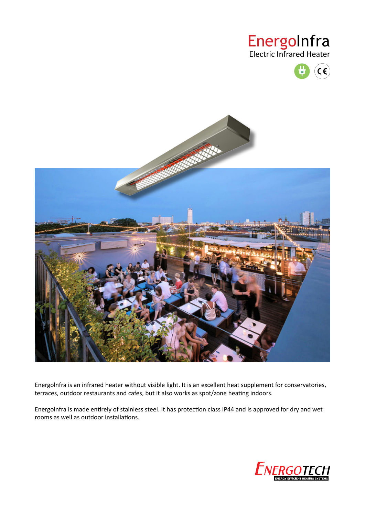## EnergoInfra Electric Infrared Heater





Energolnfra is an infrared heater without visible light. It is an excellent heat supplement for conservatories, terraces, outdoor restaurants and cafes, but it also works as spot/zone heating indoors.

Energolnfra is made entirely of stainless steel. It has protection class IP44 and is approved for dry and wet rooms as well as outdoor installations.